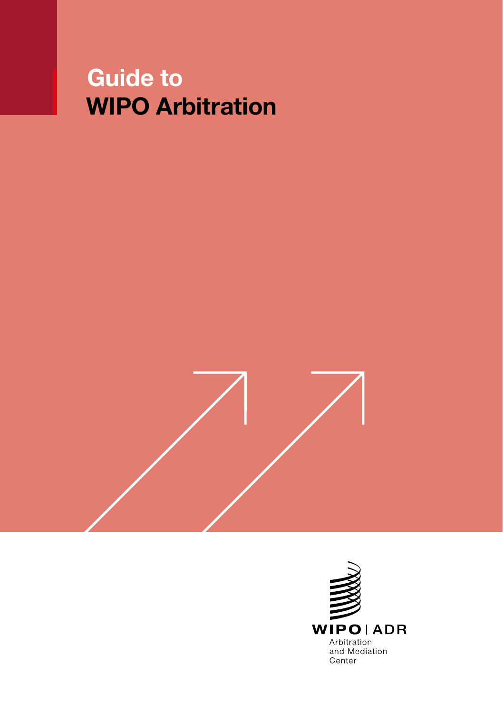# Guide to WIPO Arbitration



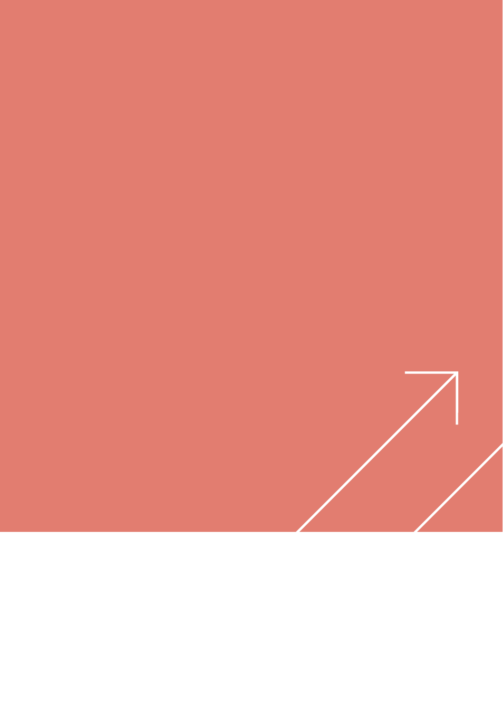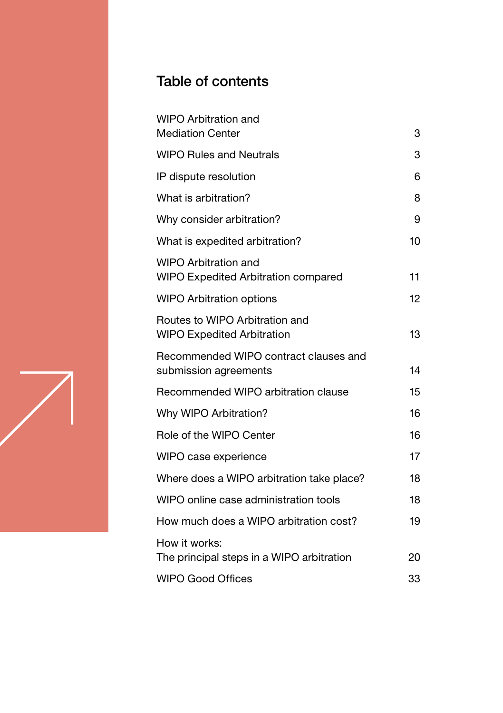## Table of contents

| WIPO Arbitration and                                                |    |
|---------------------------------------------------------------------|----|
| <b>Mediation Center</b>                                             | 3  |
| <b>WIPO Rules and Neutrals</b>                                      | 3  |
| IP dispute resolution                                               | 6  |
| What is arbitration?                                                | 8  |
| Why consider arbitration?                                           | 9  |
| What is expedited arbitration?                                      | 10 |
| WIPO Arbitration and<br><b>WIPO Expedited Arbitration compared</b>  | 11 |
| <b>WIPO Arbitration options</b>                                     | 12 |
| Routes to WIPO Arbitration and<br><b>WIPO Expedited Arbitration</b> | 13 |
| Recommended WIPO contract clauses and<br>submission agreements      | 14 |
| Recommended WIPO arbitration clause                                 | 15 |
| Why WIPO Arbitration?                                               | 16 |
| Role of the WIPO Center                                             | 16 |
| WIPO case experience                                                | 17 |
| Where does a WIPO arbitration take place?                           | 18 |
| WIPO online case administration tools                               | 18 |
| How much does a WIPO arbitration cost?                              | 19 |
| How it works:<br>The principal steps in a WIPO arbitration          | 20 |
| <b>WIPO Good Offices</b>                                            | 33 |

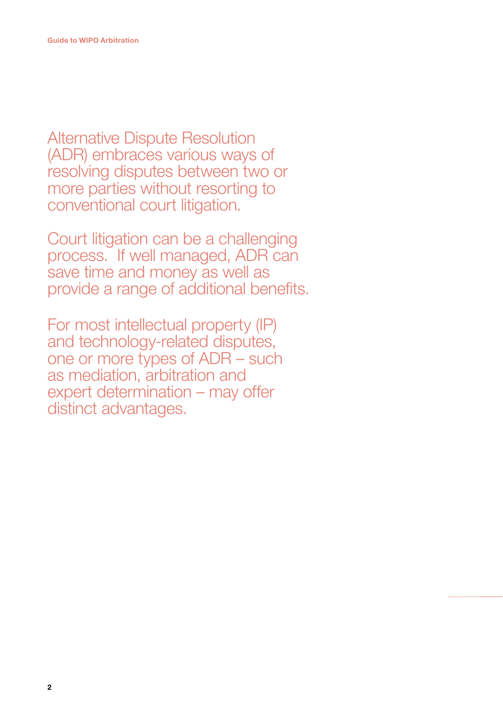Alternative Dispute Resolution (ADR) embraces various ways of resolving disputes between two or more parties without resorting to conventional court litigation.

Court litigation can be a challenging process. If well managed, ADR can save time and money as well as provide a range of additional benefits.

For most intellectual property (IP) and technology-related disputes, one or more types of ADR – such as mediation, arbitration and expert determination – may offer distinct advantages.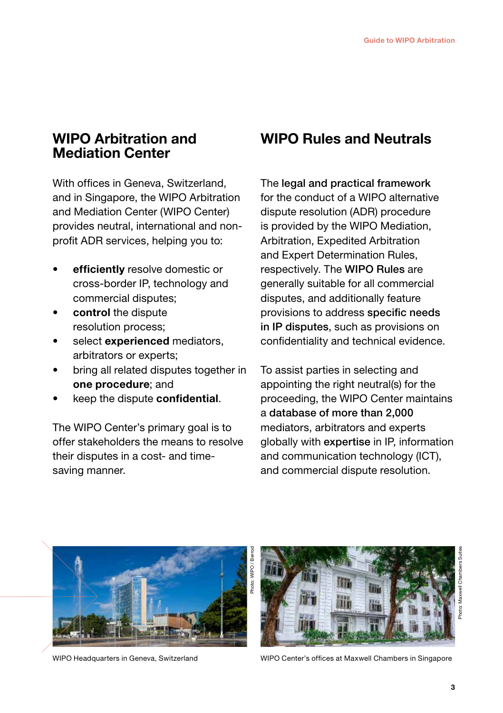### <span id="page-4-0"></span>WIPO Arbitration and Mediation Center

With offices in Geneva, Switzerland, and in Singapore, the WIPO Arbitration and Mediation Center (WIPO Center) provides neutral, international and nonprofit ADR services, helping you to:

- efficiently resolve domestic or cross-border IP, technology and commercial disputes;
- control the dispute resolution process;
- select experienced mediators, arbitrators or experts;
- bring all related disputes together in one procedure; and
- keep the dispute confidential.

The WIPO Center's primary goal is to offer stakeholders the means to resolve their disputes in a cost- and timesaving manner.

### WIPO Rules and Neutrals

The legal and practical framework for the conduct of a WIPO alternative dispute resolution (ADR) procedure is provided by the WIPO Mediation, Arbitration, Expedited Arbitration and Expert Determination Rules, respectively. The WIPO Rules are generally suitable for all commercial disputes, and additionally feature provisions to address specific needs in IP disputes, such as provisions on confidentiality and technical evidence.

To assist parties in selecting and appointing the right neutral(s) for the proceeding, the WIPO Center maintains a database of more than 2,000 mediators, arbitrators and experts globally with expertise in IP, information and communication technology (ICT), and commercial dispute resolution.



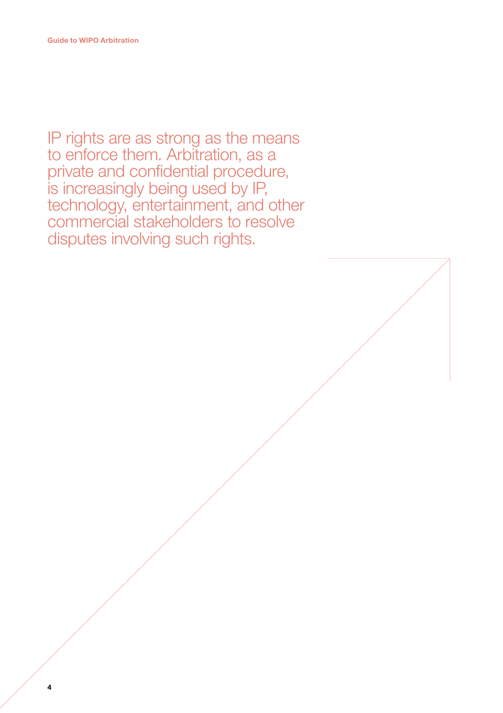IP rights are as strong as the means to enforce them. Arbitration, as a private and confidential procedure, is increasingly being used by IP, technology, entertainment, and other commercial stakeholders to resolve disputes involving such rights.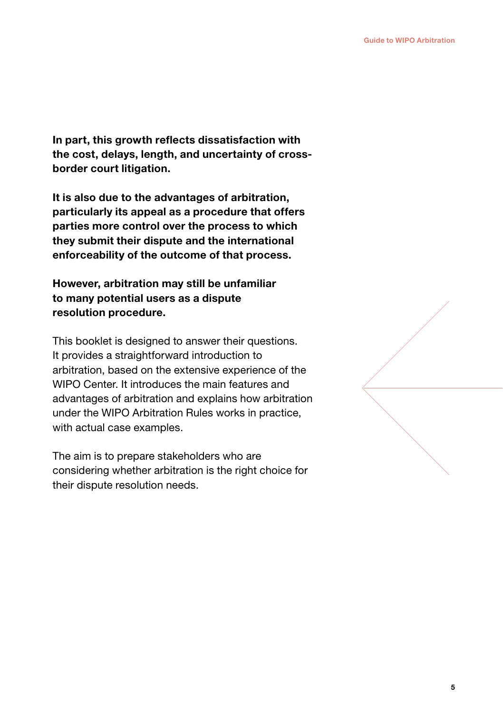In part, this growth reflects dissatisfaction with the cost, delays, length, and uncertainty of crossborder court litigation.

It is also due to the advantages of arbitration, particularly its appeal as a procedure that offers parties more control over the process to which they submit their dispute and the international enforceability of the outcome of that process.

However, arbitration may still be unfamiliar to many potential users as a dispute resolution procedure.

This booklet is designed to answer their questions. It provides a straightforward introduction to arbitration, based on the extensive experience of the WIPO Center. It introduces the main features and advantages of arbitration and explains how arbitration under the WIPO Arbitration Rules works in practice, with actual case examples.

The aim is to prepare stakeholders who are considering whether arbitration is the right choice for their dispute resolution needs.

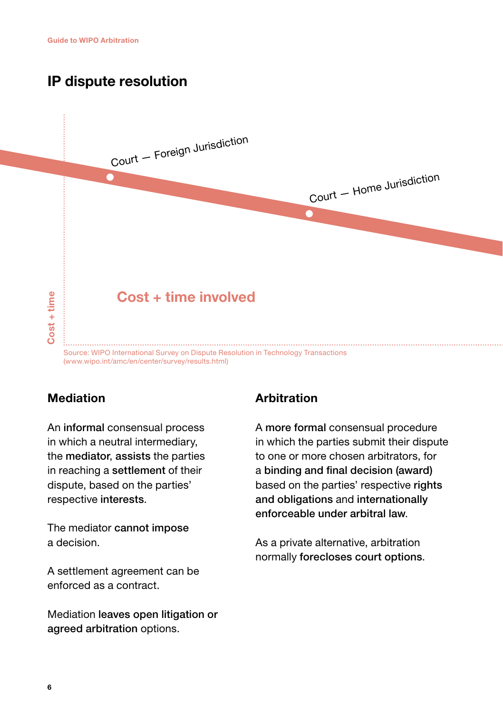### <span id="page-7-0"></span>IP dispute resolution



### Mediation

An informal consensual process in which a neutral intermediary, the mediator, assists the parties in reaching a settlement of their dispute, based on the parties' respective interests.

The mediator cannot impose a decision.

A settlement agreement can be enforced as a contract.

Mediation leaves open litigation or agreed arbitration options.

### Arbitration

A more formal consensual procedure in which the parties submit their dispute to one or more chosen arbitrators, for a binding and final decision (award) based on the parties' respective rights and obligations and internationally enforceable under arbitral law.

As a private alternative, arbitration normally forecloses court options.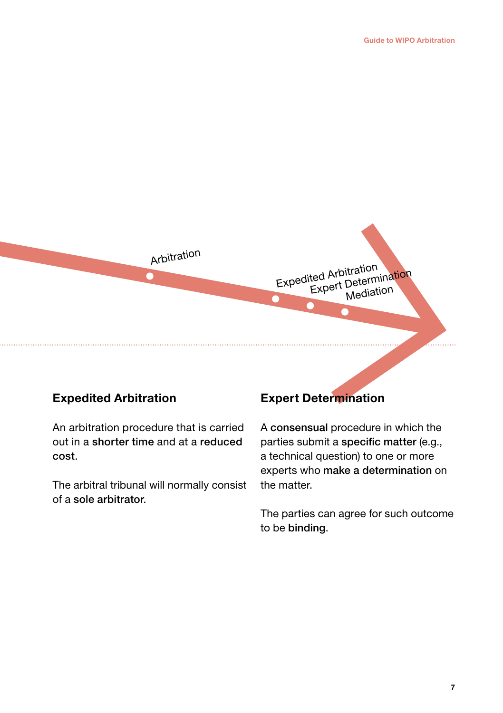

### Expedited Arbitration

An arbitration procedure that is carried out in a shorter time and at a reduced cost.

The arbitral tribunal will normally consist of a sole arbitrator.

### Expert Determination

A consensual procedure in which the parties submit a specific matter (e.g., a technical question) to one or more experts who make a determination on the matter.

The parties can agree for such outcome to be binding.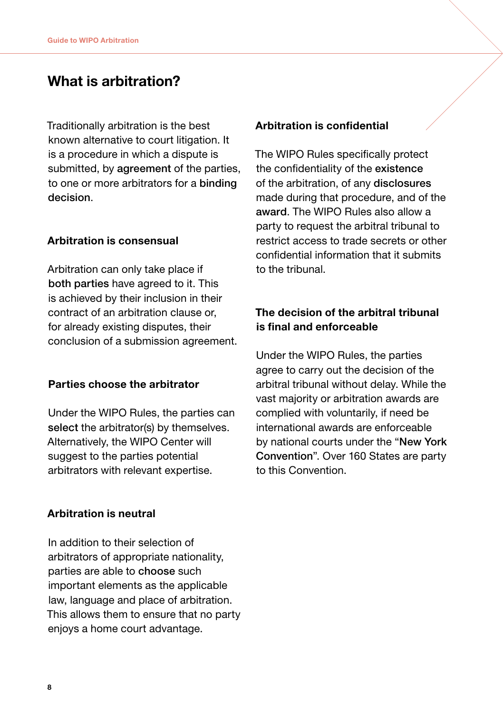### <span id="page-9-0"></span>What is arbitration?

Traditionally arbitration is the best known alternative to court litigation. It is a procedure in which a dispute is submitted, by agreement of the parties, to one or more arbitrators for a binding decision.

#### Arbitration is consensual

Arbitration can only take place if both parties have agreed to it. This is achieved by their inclusion in their contract of an arbitration clause or, for already existing disputes, their conclusion of a submission agreement.

#### Parties choose the arbitrator

Under the WIPO Rules, the parties can select the arbitrator(s) by themselves. Alternatively, the WIPO Center will suggest to the parties potential arbitrators with relevant expertise.

#### Arbitration is neutral

In addition to their selection of arbitrators of appropriate nationality, parties are able to choose such important elements as the applicable law, language and place of arbitration. This allows them to ensure that no party enjoys a home court advantage.

#### Arbitration is confidential

The WIPO Rules specifically protect the confidentiality of the existence of the arbitration, of any disclosures made during that procedure, and of the award. The WIPO Rules also allow a party to request the arbitral tribunal to restrict access to trade secrets or other confidential information that it submits to the tribunal.

#### The decision of the arbitral tribunal is final and enforceable

Under the WIPO Rules, the parties agree to carry out the decision of the arbitral tribunal without delay. While the vast majority or arbitration awards are complied with voluntarily, if need be international awards are enforceable by national courts under the "New York Convention". Over 160 States are party to this Convention.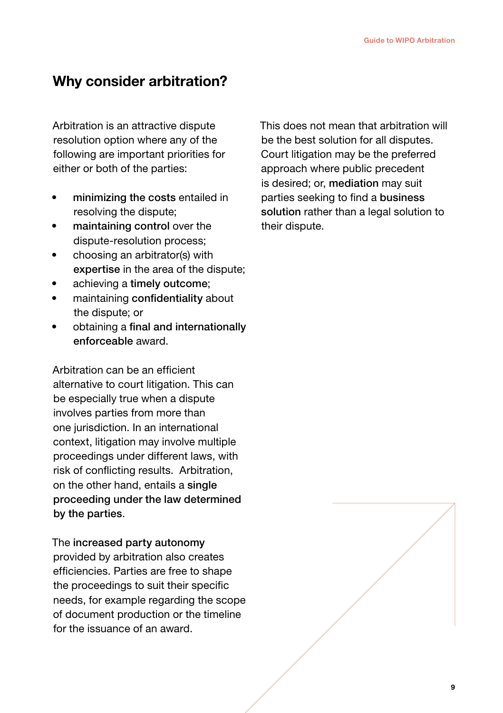### <span id="page-10-0"></span>Why consider arbitration?

Arbitration is an attractive dispute resolution option where any of the following are important priorities for either or both of the parties:

- minimizing the costs entailed in resolving the dispute;
- maintaining control over the dispute-resolution process;
- choosing an arbitrator(s) with expertise in the area of the dispute;
- achieving a timely outcome;
- maintaining confidentiality about the dispute; or
- obtaining a final and internationally enforceable award.

Arbitration can be an efficient alternative to court litigation. This can be especially true when a dispute involves parties from more than one jurisdiction. In an international context, litigation may involve multiple proceedings under different laws, with risk of conflicting results. Arbitration, on the other hand, entails a single proceeding under the law determined by the parties.

The increased party autonomy provided by arbitration also creates efficiencies. Parties are free to shape the proceedings to suit their specific needs, for example regarding the scope of document production or the timeline for the issuance of an award.

This does not mean that arbitration will be the best solution for all disputes. Court litigation may be the preferred approach where public precedent is desired; or, mediation may suit parties seeking to find a business solution rather than a legal solution to their dispute.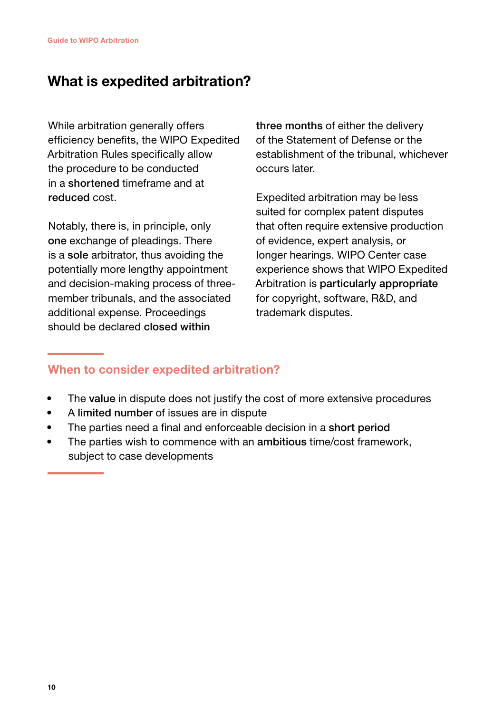### <span id="page-11-0"></span>What is expedited arbitration?

While arbitration generally offers efficiency benefits, the WIPO Expedited Arbitration Rules specifically allow the procedure to be conducted in a shortened timeframe and at reduced cost.

Notably, there is, in principle, only one exchange of pleadings. There is a sole arbitrator, thus avoiding the potentially more lengthy appointment and decision-making process of threemember tribunals, and the associated additional expense. Proceedings should be declared closed within

three months of either the delivery of the Statement of Defense or the establishment of the tribunal, whichever occurs later.

Expedited arbitration may be less suited for complex patent disputes that often require extensive production of evidence, expert analysis, or longer hearings. WIPO Center case experience shows that WIPO Expedited Arbitration is particularly appropriate for copyright, software, R&D, and trademark disputes.

### When to consider expedited arbitration?

- The value in dispute does not justify the cost of more extensive procedures
- A limited number of issues are in dispute
- The parties need a final and enforceable decision in a short period
- The parties wish to commence with an ambitious time/cost framework, subject to case developments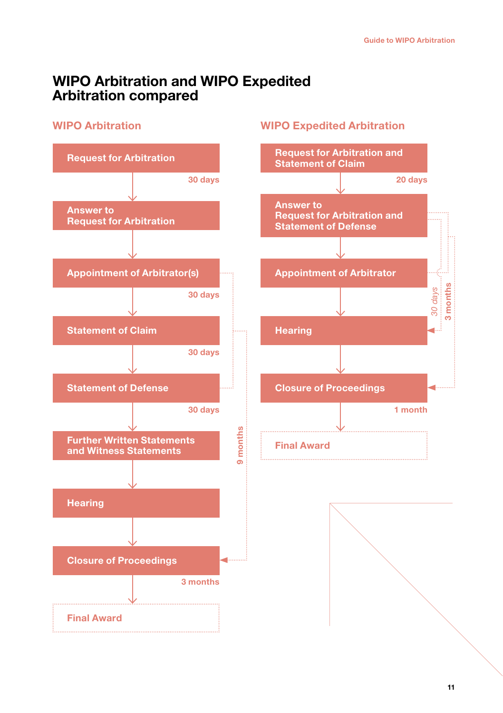### <span id="page-12-0"></span>WIPO Arbitration and WIPO Expedited Arbitration compared



### WIPO Arbitration WIPO Expedited Arbitration

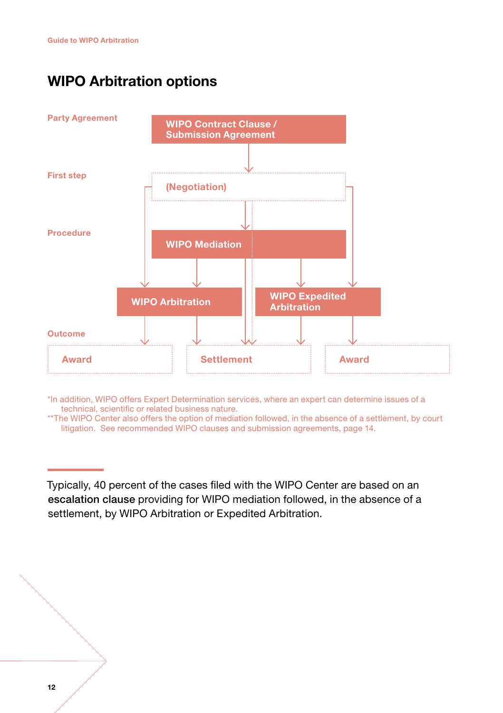### <span id="page-13-0"></span>WIPO Arbitration options



\*In addition, WIPO offers Expert Determination services, where an expert can determine issues of a technical, scientific or related business nature.

\*\*The WIPO Center also offers the option of mediation followed, in the absence of a settlement, by court litigation. See recommended WIPO clauses and submission agreements, page 14.

Typically, 40 percent of the cases filed with the WIPO Center are based on an escalation clause providing for WIPO mediation followed, in the absence of a settlement, by WIPO Arbitration or Expedited Arbitration.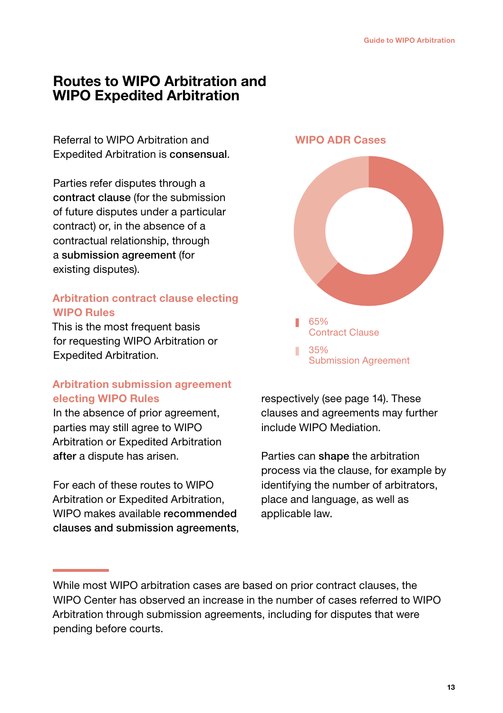### <span id="page-14-0"></span>Routes to WIPO Arbitration and WIPO Expedited Arbitration

Referral to WIPO Arbitration and Expedited Arbitration is consensual.

Parties refer disputes through a contract clause (for the submission of future disputes under a particular contract) or, in the absence of a contractual relationship, through a submission agreement (for existing disputes).

### Arbitration contract clause electing WIPO Rules

This is the most frequent basis for requesting WIPO Arbitration or Expedited Arbitration.

### Arbitration submission agreement electing WIPO Rules

In the absence of prior agreement, parties may still agree to WIPO Arbitration or Expedited Arbitration after a dispute has arisen.

For each of these routes to WIPO Arbitration or Expedited Arbitration, WIPO makes available recommended clauses and submission agreements,

#### WIPO ADR Cases



respectively (see page 14). These clauses and agreements may further include WIPO Mediation.

Parties can shape the arbitration process via the clause, for example by identifying the number of arbitrators, place and language, as well as applicable law.

While most WIPO arbitration cases are based on prior contract clauses, the WIPO Center has observed an increase in the number of cases referred to WIPO Arbitration through submission agreements, including for disputes that were pending before courts.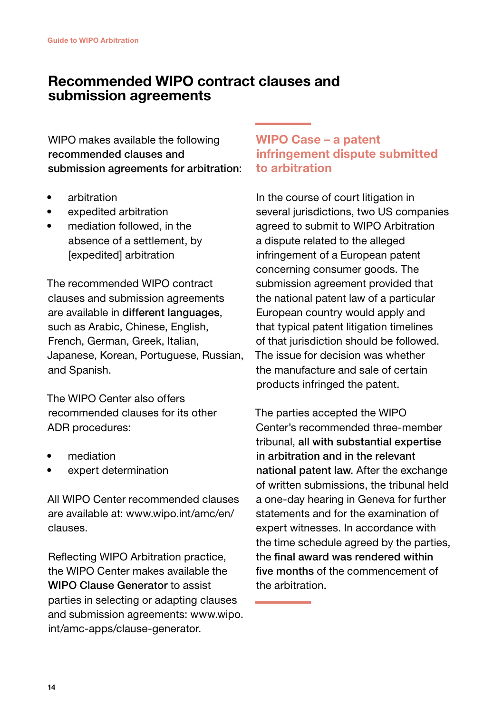### <span id="page-15-0"></span>Recommended WIPO contract clauses and submission agreements

WIPO makes available the following recommended clauses and submission agreements for arbitration:

- arbitration
- expedited arbitration
- mediation followed, in the absence of a settlement, by [expedited] arbitration

The recommended WIPO contract clauses and submission agreements are available in different languages, such as Arabic, Chinese, English, French, German, Greek, Italian, Japanese, Korean, Portuguese, Russian, and Spanish.

The WIPO Center also offers recommended clauses for its other ADR procedures:

- mediation
- expert determination

All WIPO Center recommended clauses are available at: [www.wipo.int/amc/en/](https://www.wipo.int/amc/en/clauses) [clauses.](https://www.wipo.int/amc/en/clauses)

Reflecting WIPO Arbitration practice, the WIPO Center makes available the WIPO Clause Generator to assist parties in selecting or adapting clauses and submission agreements: [www.wipo.](https://www.wipo.int/amc-apps/clause-generator/) [int/amc-apps/clause-generator](https://www.wipo.int/amc-apps/clause-generator/).

### WIPO Case – a patent infringement dispute submitted to arbitration

In the course of court litigation in several jurisdictions, two US companies agreed to submit to WIPO Arbitration a dispute related to the alleged infringement of a European patent concerning consumer goods. The submission agreement provided that the national patent law of a particular European country would apply and that typical patent litigation timelines of that jurisdiction should be followed. The issue for decision was whether the manufacture and sale of certain products infringed the patent.

The parties accepted the WIPO Center's recommended three-member tribunal, all with substantial expertise in arbitration and in the relevant national patent law. After the exchange of written submissions, the tribunal held a one-day hearing in Geneva for further statements and for the examination of expert witnesses. In accordance with the time schedule agreed by the parties, the final award was rendered within five months of the commencement of the arbitration.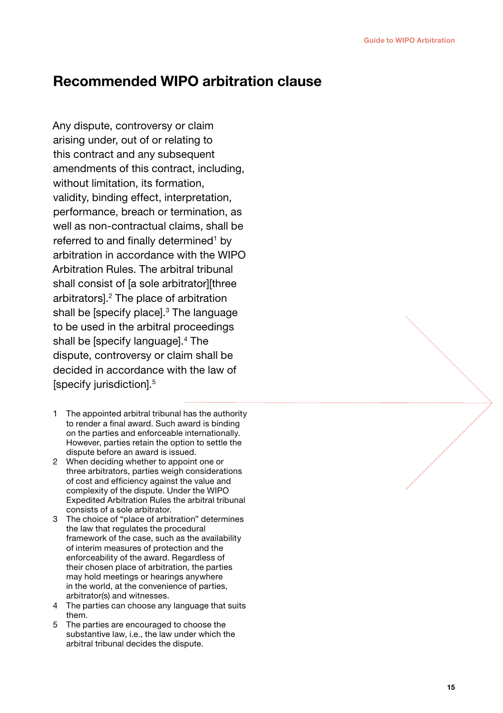### <span id="page-16-0"></span>Recommended WIPO arbitration clause

Any dispute, controversy or claim arising under, out of or relating to this contract and any subsequent amendments of this contract, including, without limitation, its formation, validity, binding effect, interpretation, performance, breach or termination, as well as non-contractual claims, shall be referred to and finally determined<sup>1</sup> by arbitration in accordance with the WIPO Arbitration Rules. The arbitral tribunal shall consist of [a sole arbitrator][three arbitrators].2 The place of arbitration shall be [specify place].<sup>3</sup> The language to be used in the arbitral proceedings shall be [specify language].4 The dispute, controversy or claim shall be decided in accordance with the law of [specify jurisdiction].5

- 1 The appointed arbitral tribunal has the authority to render a final award. Such award is binding on the parties and enforceable internationally. However, parties retain the option to settle the dispute before an award is issued.
- 2 When deciding whether to appoint one or three arbitrators, parties weigh considerations of cost and efficiency against the value and complexity of the dispute. Under the WIPO Expedited Arbitration Rules the arbitral tribunal consists of a sole arbitrator.
- 3 The choice of "place of arbitration" determines the law that regulates the procedural framework of the case, such as the availability of interim measures of protection and the enforceability of the award. Regardless of their chosen place of arbitration, the parties may hold meetings or hearings anywhere in the world, at the convenience of parties, arbitrator(s) and witnesses.
- 4 The parties can choose any language that suits them.
- 5 The parties are encouraged to choose the substantive law, i.e., the law under which the arbitral tribunal decides the dispute.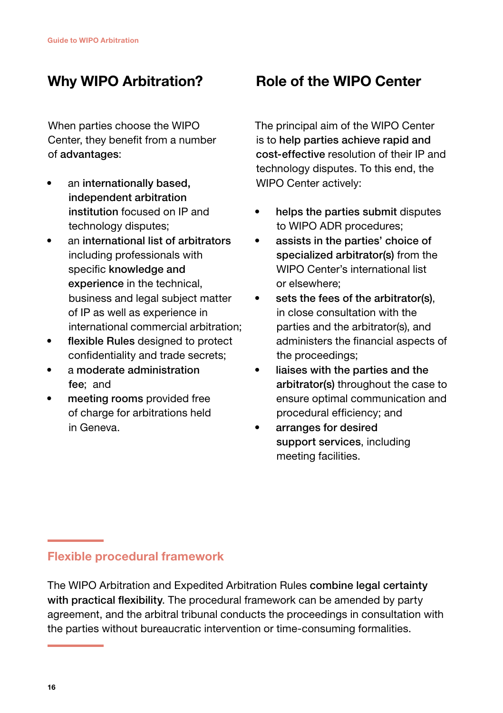### <span id="page-17-0"></span>Why WIPO Arbitration?

When parties choose the WIPO Center, they benefit from a number of advantages:

- an internationally based, independent arbitration institution focused on IP and technology disputes;
- an international list of arbitrators including professionals with specific knowledge and experience in the technical, business and legal subject matter of IP as well as experience in international commercial arbitration;
- flexible Rules designed to protect confidentiality and trade secrets;
- a moderate administration fee; and
- meeting rooms provided free of charge for arbitrations held in Geneva.

### Role of the WIPO Center

The principal aim of the WIPO Center is to help parties achieve rapid and cost-effective resolution of their IP and technology disputes. To this end, the WIPO Center actively:

- helps the parties submit disputes to WIPO ADR procedures;
- assists in the parties' choice of specialized arbitrator(s) from the WIPO Center's international list or elsewhere;
- sets the fees of the arbitrator(s). in close consultation with the parties and the arbitrator(s), and administers the financial aspects of the proceedings;
- liaises with the parties and the arbitrator(s) throughout the case to ensure optimal communication and procedural efficiency; and
- arranges for desired support services, including meeting facilities.

#### Flexible procedural framework

The WIPO Arbitration and Expedited Arbitration Rules combine legal certainty with practical flexibility. The procedural framework can be amended by party agreement, and the arbitral tribunal conducts the proceedings in consultation with the parties without bureaucratic intervention or time-consuming formalities.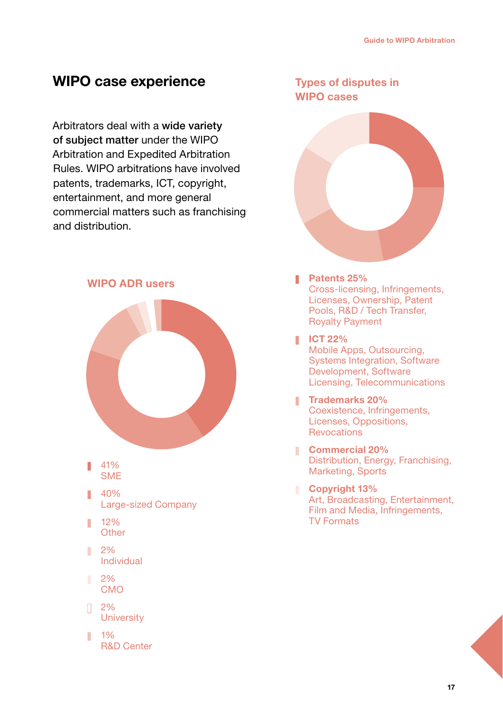### <span id="page-18-0"></span>WIPO case experience

Arbitrators deal with a wide variety of subject matter under the WIPO Arbitration and Expedited Arbitration Rules. WIPO arbitrations have involved patents, trademarks, ICT, copyright, entertainment, and more general commercial matters such as franchising and distribution.



#### Types of disputes in WIPO cases



- $\blacksquare$  Patents 25% Cross-licensing, Infringements, Licenses, Ownership, Patent Pools, R&D / Tech Transfer, Royalty Payment
- $ICT 22%$ Mobile Apps, Outsourcing, Systems Integration, Software Development, Software Licensing, Telecommunications
- **Trademarks 20%** Coexistence, Infringements, Licenses, Oppositions, **Revocations**
- Commercial 20% Distribution, Energy, Franchising, Marketing, Sports
- Copyright 13% Art, Broadcasting, Entertainment, Film and Media, Infringements, TV Formats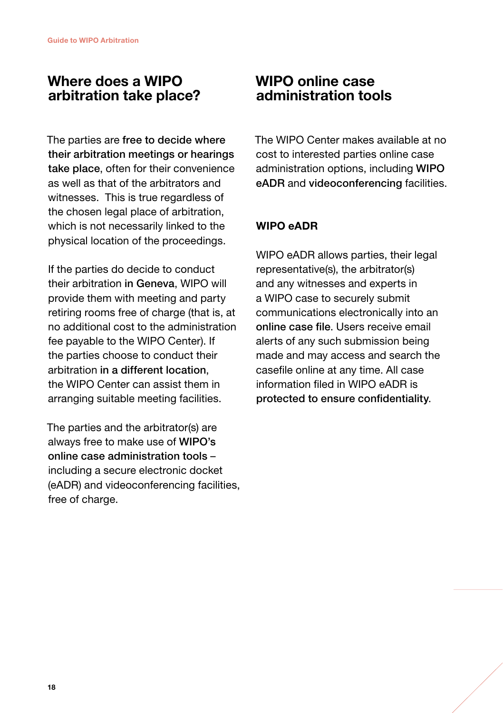### <span id="page-19-0"></span>Where does a WIPO arbitration take place?

The parties are free to decide where their arbitration meetings or hearings take place, often for their convenience as well as that of the arbitrators and witnesses. This is true regardless of the chosen legal place of arbitration, which is not necessarily linked to the physical location of the proceedings.

If the parties do decide to conduct their arbitration in Geneva, WIPO will provide them with meeting and party retiring rooms free of charge (that is, at no additional cost to the administration fee payable to the WIPO Center). If the parties choose to conduct their arbitration in a different location, the WIPO Center can assist them in arranging suitable meeting facilities.

The parties and the arbitrator(s) are always free to make use of WIPO's online case administration tools – including a secure electronic docket (eADR) and videoconferencing facilities, free of charge.

### WIPO online case administration tools

The WIPO Center makes available at no cost to interested parties online case administration options, including WIPO eADR and videoconferencing facilities.

### WIPO eADR

WIPO eADR allows parties, their legal representative(s), the arbitrator(s) and any witnesses and experts in a WIPO case to securely submit communications electronically into an online case file. Users receive email alerts of any such submission being made and may access and search the casefile online at any time. All case information filed in WIPO eADR is protected to ensure confidentiality.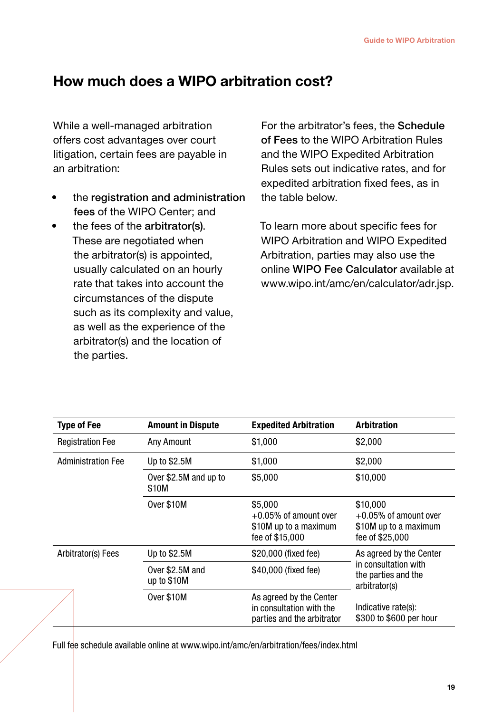### <span id="page-20-0"></span>How much does a WIPO arbitration cost?

While a well-managed arbitration offers cost advantages over court litigation, certain fees are payable in an arbitration:

- the registration and administration fees of the WIPO Center; and
- the fees of the arbitrator(s). These are negotiated when the arbitrator(s) is appointed, usually calculated on an hourly rate that takes into account the circumstances of the dispute such as its complexity and value, as well as the experience of the arbitrator(s) and the location of the parties.

For the arbitrator's fees, the Schedule of Fees to the WIPO Arbitration Rules and the WIPO Expedited Arbitration Rules sets out indicative rates, and for expedited arbitration fixed fees, as in the table below.

To learn more about specific fees for WIPO Arbitration and WIPO Expedited Arbitration, parties may also use the online WIPO Fee Calculator available at [www.wipo.int/amc/en/calculator/adr.jsp.](https://www.wipo.int/amc/en/calculator/adr.jsp)

| <b>Type of Fee</b>        | <b>Amount in Dispute</b>       | <b>Expedited Arbitration</b>                                                      | <b>Arbitration</b>                                                               |
|---------------------------|--------------------------------|-----------------------------------------------------------------------------------|----------------------------------------------------------------------------------|
| <b>Registration Fee</b>   | Any Amount                     | \$1,000                                                                           | \$2.000                                                                          |
| <b>Administration Fee</b> | Up to \$2.5M                   | \$1,000                                                                           | \$2,000                                                                          |
|                           | Over \$2.5M and up to<br>\$10M | \$5.000                                                                           | \$10,000                                                                         |
|                           | Over \$10M                     | \$5,000<br>$+0.05\%$ of amount over<br>\$10M up to a maximum<br>fee of \$15,000   | \$10,000<br>$+0.05\%$ of amount over<br>\$10M up to a maximum<br>fee of \$25,000 |
| Arbitrator(s) Fees        | Up to \$2.5M                   | \$20,000 (fixed fee)                                                              | As agreed by the Center                                                          |
|                           | Over \$2.5M and<br>up to \$10M | \$40,000 (fixed fee)                                                              | in consultation with<br>the parties and the<br>arbitrator(s)                     |
|                           | Over \$10M                     | As agreed by the Center<br>in consultation with the<br>parties and the arbitrator | Indicative rate(s):<br>\$300 to \$600 per hour                                   |

Full fee schedule available online at [www.wipo.int/amc/en/arbitration/fees/index.html](https://www.wipo.int/amc/en/arbitration/fees/index.html)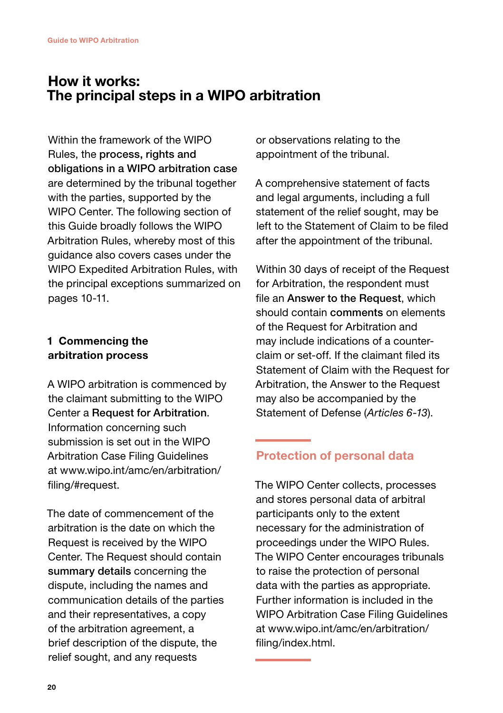### <span id="page-21-0"></span>How it works: The principal steps in a WIPO arbitration

Within the framework of the WIPO Rules, the process, rights and obligations in a WIPO arbitration case are determined by the tribunal together with the parties, supported by the WIPO Center. The following section of this Guide broadly follows the WIPO Arbitration Rules, whereby most of this guidance also covers cases under the WIPO Expedited Arbitration Rules, with the principal exceptions summarized on pages 10-11.

### 1 Commencing the arbitration process

A WIPO arbitration is commenced by the claimant submitting to the WIPO Center a Request for Arbitration. Information concerning such submission is set out in the WIPO Arbitration Case Filing Guidelines at [www.wipo.int/amc/en/arbitration/](https://www.wipo.int/amc/en/arbitration/filing/#request) [filing/#request](https://www.wipo.int/amc/en/arbitration/filing/#request).

The date of commencement of the arbitration is the date on which the Request is received by the WIPO Center. The Request should contain summary details concerning the dispute, including the names and communication details of the parties and their representatives, a copy of the arbitration agreement, a brief description of the dispute, the relief sought, and any requests

or observations relating to the appointment of the tribunal.

A comprehensive statement of facts and legal arguments, including a full statement of the relief sought, may be left to the Statement of Claim to be filed after the appointment of the tribunal.

Within 30 days of receipt of the Request for Arbitration, the respondent must file an Answer to the Request, which should contain comments on elements of the Request for Arbitration and may include indications of a counterclaim or set-off. If the claimant filed its Statement of Claim with the Request for Arbitration, the Answer to the Request may also be accompanied by the Statement of Defense (*Articles 6-13*).

### Protection of personal data

The WIPO Center collects, processes and stores personal data of arbitral participants only to the extent necessary for the administration of proceedings under the WIPO Rules. The WIPO Center encourages tribunals to raise the protection of personal data with the parties as appropriate. Further information is included in the WIPO Arbitration Case Filing Guidelines at [www.wipo.int/amc/en/arbitration/](https://www.wipo.int/amc/en/arbitration/filing/index.html) [filing/index.html](https://www.wipo.int/amc/en/arbitration/filing/index.html).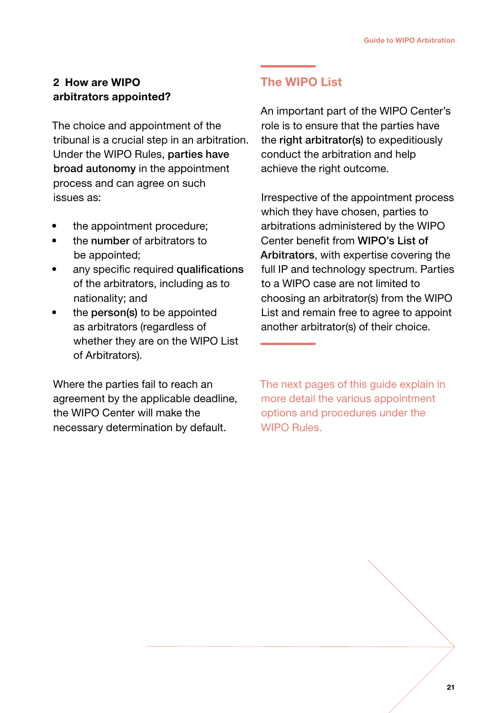#### 2 How are WIPO arbitrators appointed?

The choice and appointment of the tribunal is a crucial step in an arbitration. Under the WIPO Rules, parties have broad autonomy in the appointment process and can agree on such issues as:

- the appointment procedure;
- the number of arbitrators to be appointed;
- any specific required qualifications of the arbitrators, including as to nationality; and
- the person(s) to be appointed as arbitrators (regardless of whether they are on the WIPO List of Arbitrators).

Where the parties fail to reach an agreement by the applicable deadline, the WIPO Center will make the necessary determination by default.

### The WIPO List

An important part of the WIPO Center's role is to ensure that the parties have the right arbitrator(s) to expeditiously conduct the arbitration and help achieve the right outcome.

Irrespective of the appointment process which they have chosen, parties to arbitrations administered by the WIPO Center benefit from WIPO's List of Arbitrators, with expertise covering the full IP and technology spectrum. Parties to a WIPO case are not limited to choosing an arbitrator(s) from the WIPO List and remain free to agree to appoint another arbitrator(s) of their choice.

The next pages of this guide explain in more detail the various appointment options and procedures under the WIPO Rules.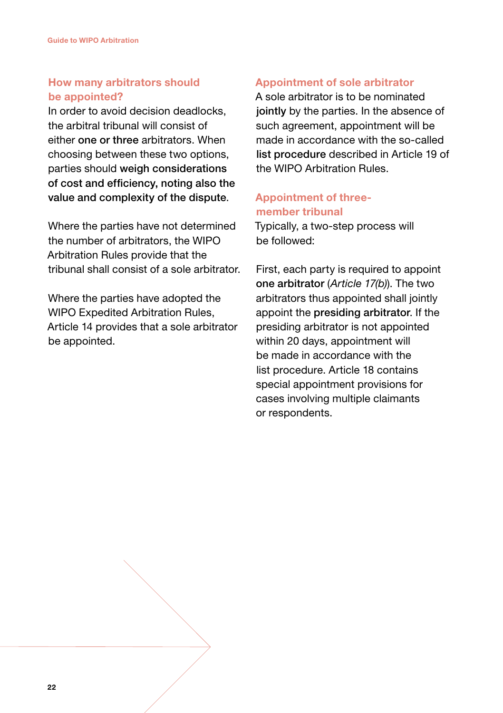#### How many arbitrators should be appointed?

In order to avoid decision deadlocks, the arbitral tribunal will consist of either one or three arbitrators. When choosing between these two options, parties should weigh considerations of cost and efficiency, noting also the value and complexity of the dispute.

Where the parties have not determined the number of arbitrators, the WIPO Arbitration Rules provide that the tribunal shall consist of a sole arbitrator.

Where the parties have adopted the WIPO Expedited Arbitration Rules, Article 14 provides that a sole arbitrator be appointed.

#### Appointment of sole arbitrator

A sole arbitrator is to be nominated jointly by the parties. In the absence of such agreement, appointment will be made in accordance with the so-called list procedure described in Article 19 of the WIPO Arbitration Rules.

#### Appointment of threemember tribunal

Typically, a two-step process will be followed:

First, each party is required to appoint one arbitrator (*Article 17(b)*). The two arbitrators thus appointed shall jointly appoint the presiding arbitrator. If the presiding arbitrator is not appointed within 20 days, appointment will be made in accordance with the list procedure. Article 18 contains special appointment provisions for cases involving multiple claimants or respondents.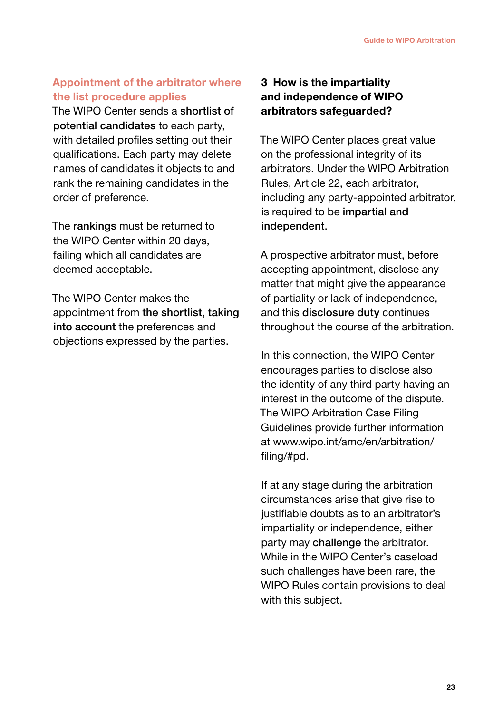### Appointment of the arbitrator where the list procedure applies

The WIPO Center sends a shortlist of potential candidates to each party, with detailed profiles setting out their qualifications. Each party may delete names of candidates it objects to and rank the remaining candidates in the order of preference.

The rankings must be returned to the WIPO Center within 20 days, failing which all candidates are deemed acceptable.

The WIPO Center makes the appointment from the shortlist, taking into account the preferences and objections expressed by the parties.

### 3 How is the impartiality and independence of WIPO arbitrators safeguarded?

The WIPO Center places great value on the professional integrity of its arbitrators. Under the WIPO Arbitration Rules, Article 22, each arbitrator, including any party-appointed arbitrator, is required to be impartial and independent.

A prospective arbitrator must, before accepting appointment, disclose any matter that might give the appearance of partiality or lack of independence, and this disclosure duty continues throughout the course of the arbitration.

In this connection, the WIPO Center encourages parties to disclose also the identity of any third party having an interest in the outcome of the dispute. The WIPO Arbitration Case Filing Guidelines provide further information at [www.wipo.int/amc/en/arbitration/](https://www.wipo.int/amc/en/arbitration/filing/#pd) [filing/#pd](https://www.wipo.int/amc/en/arbitration/filing/#pd).

If at any stage during the arbitration circumstances arise that give rise to justifiable doubts as to an arbitrator's impartiality or independence, either party may challenge the arbitrator. While in the WIPO Center's caseload such challenges have been rare, the WIPO Rules contain provisions to deal with this subject.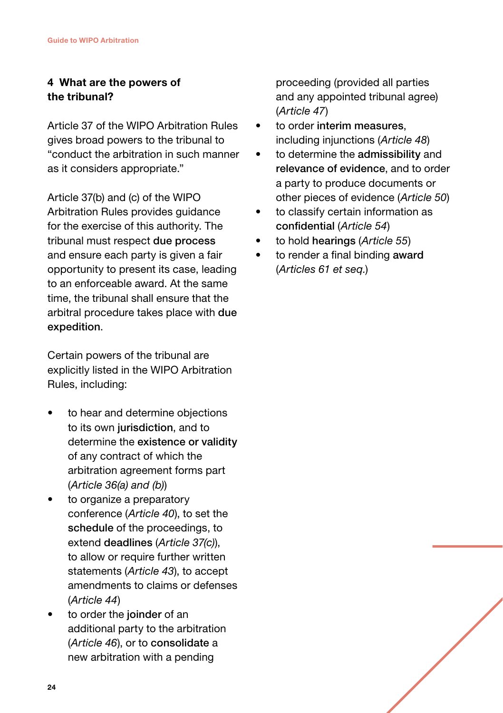### 4 What are the powers of the tribunal?

Article 37 of the WIPO Arbitration Rules gives broad powers to the tribunal to "conduct the arbitration in such manner as it considers appropriate."

Article 37(b) and (c) of the WIPO Arbitration Rules provides guidance for the exercise of this authority. The tribunal must respect due process and ensure each party is given a fair opportunity to present its case, leading to an enforceable award. At the same time, the tribunal shall ensure that the arbitral procedure takes place with due expedition.

Certain powers of the tribunal are explicitly listed in the WIPO Arbitration Rules, including:

- to hear and determine objections to its own jurisdiction, and to determine the existence or validity of any contract of which the arbitration agreement forms part (*Article 36(a) and (b)*)
- to organize a preparatory conference (*Article 40*), to set the schedule of the proceedings, to extend deadlines (*Article 37(c)*), to allow or require further written statements (*Article 43*), to accept amendments to claims or defenses (*Article 44*)
- to order the joinder of an additional party to the arbitration (*Article 46*), or to consolidate a new arbitration with a pending

proceeding (provided all parties and any appointed tribunal agree) (*Article 47*)

- to order interim measures. including injunctions (*Article 48*)
- to determine the admissibility and relevance of evidence, and to order a party to produce documents or other pieces of evidence (*Article 50*)
- to classify certain information as confidential (*Article 54*)
- to hold hearings (*Article 55*)
- to render a final binding award (*Articles 61 et seq.*)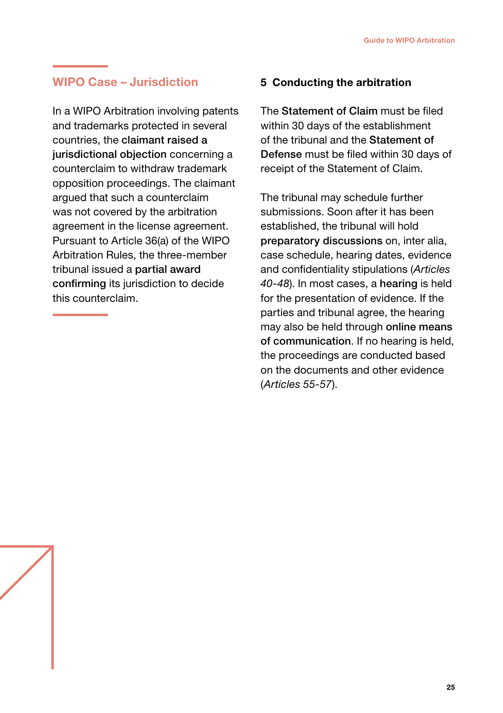### WIPO Case – Jurisdiction

In a WIPO Arbitration involving patents and trademarks protected in several countries, the claimant raised a jurisdictional objection concerning a counterclaim to withdraw trademark opposition proceedings. The claimant argued that such a counterclaim was not covered by the arbitration agreement in the license agreement. Pursuant to Article 36(a) of the WIPO Arbitration Rules, the three-member tribunal issued a partial award confirming its jurisdiction to decide this counterclaim.

#### 5 Conducting the arbitration

The Statement of Claim must be filed within 30 days of the establishment of the tribunal and the Statement of Defense must be filed within 30 days of receipt of the Statement of Claim.

The tribunal may schedule further submissions. Soon after it has been established, the tribunal will hold preparatory discussions on, inter alia, case schedule, hearing dates, evidence and confidentiality stipulations (*Articles 40-48*). In most cases, a hearing is held for the presentation of evidence. If the parties and tribunal agree, the hearing may also be held through online means of communication. If no hearing is held, the proceedings are conducted based on the documents and other evidence (*Articles 55-57*).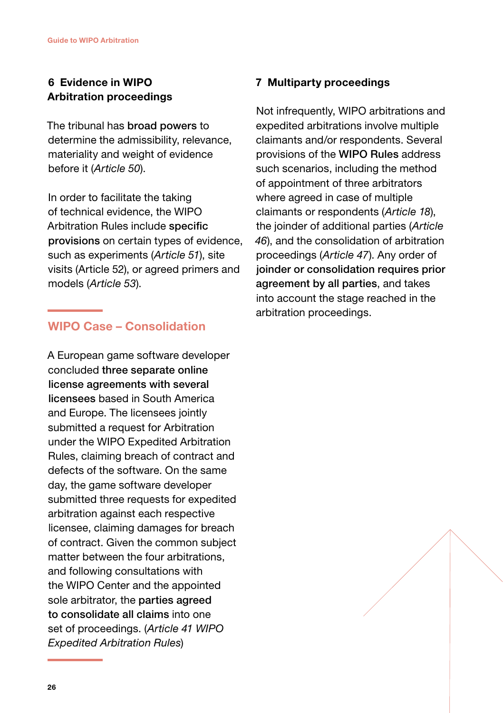### 6 Evidence in WIPO Arbitration proceedings

The tribunal has broad powers to determine the admissibility, relevance, materiality and weight of evidence before it (*Article 50*).

In order to facilitate the taking of technical evidence, the WIPO Arbitration Rules include specific provisions on certain types of evidence, such as experiments (*Article 51*), site visits (Article 52), or agreed primers and models (*Article 53*).

### WIPO Case – Consolidation

A European game software developer concluded three separate online license agreements with several licensees based in South America and Europe. The licensees jointly submitted a request for Arbitration under the WIPO Expedited Arbitration Rules, claiming breach of contract and defects of the software. On the same day, the game software developer submitted three requests for expedited arbitration against each respective licensee, claiming damages for breach of contract. Given the common subject matter between the four arbitrations, and following consultations with the WIPO Center and the appointed sole arbitrator, the parties agreed to consolidate all claims into one set of proceedings. (*Article 41 WIPO Expedited Arbitration Rules*)

#### 7 Multiparty proceedings

Not infrequently, WIPO arbitrations and expedited arbitrations involve multiple claimants and/or respondents. Several provisions of the WIPO Rules address such scenarios, including the method of appointment of three arbitrators where agreed in case of multiple claimants or respondents (*Article 18*), the joinder of additional parties (*Article 46*), and the consolidation of arbitration proceedings (*Article 47*). Any order of joinder or consolidation requires prior agreement by all parties, and takes into account the stage reached in the arbitration proceedings.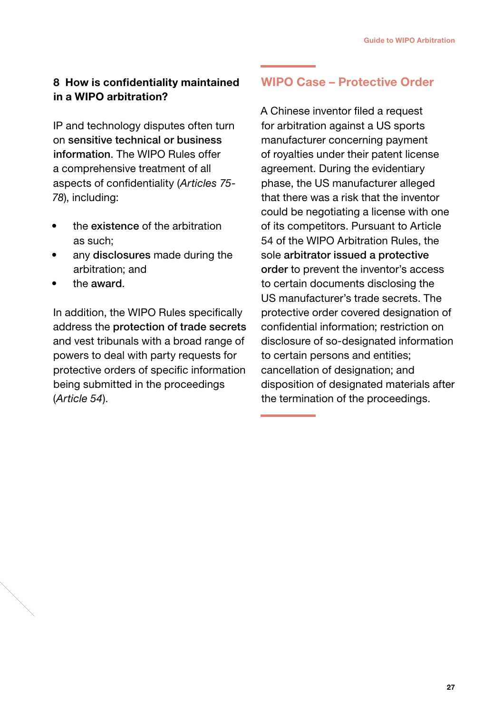#### 8 How is confidentiality maintained in a WIPO arbitration?

IP and technology disputes often turn on sensitive technical or business information. The WIPO Rules offer a comprehensive treatment of all aspects of confidentiality (*Articles 75- 78*), including:

- the existence of the arbitration as such;
- any disclosures made during the arbitration; and
- the award.

In addition, the WIPO Rules specifically address the protection of trade secrets and vest tribunals with a broad range of powers to deal with party requests for protective orders of specific information being submitted in the proceedings (*Article 54*).

### WIPO Case – Protective Order

A Chinese inventor filed a request for arbitration against a US sports manufacturer concerning payment of royalties under their patent license agreement. During the evidentiary phase, the US manufacturer alleged that there was a risk that the inventor could be negotiating a license with one of its competitors. Pursuant to Article 54 of the WIPO Arbitration Rules, the sole arbitrator issued a protective order to prevent the inventor's access to certain documents disclosing the US manufacturer's trade secrets. The protective order covered designation of confidential information; restriction on disclosure of so-designated information to certain persons and entities; cancellation of designation; and disposition of designated materials after the termination of the proceedings.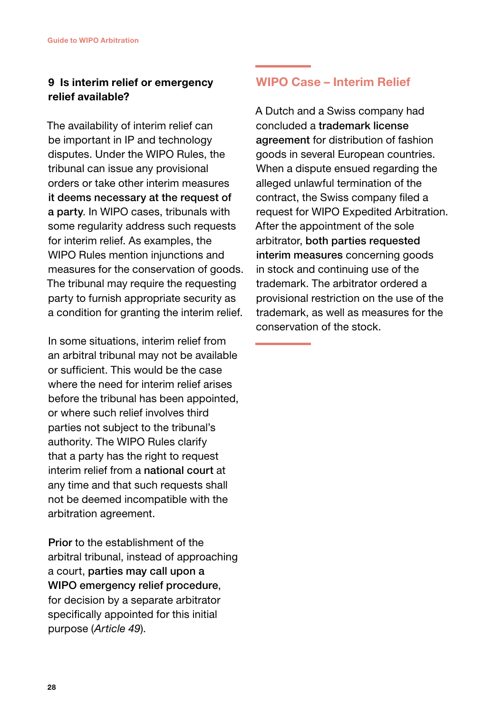#### 9 Is interim relief or emergency relief available?

The availability of interim relief can be important in IP and technology disputes. Under the WIPO Rules, the tribunal can issue any provisional orders or take other interim measures it deems necessary at the request of a party. In WIPO cases, tribunals with some regularity address such requests for interim relief. As examples, the WIPO Rules mention injunctions and measures for the conservation of goods. The tribunal may require the requesting party to furnish appropriate security as a condition for granting the interim relief.

In some situations, interim relief from an arbitral tribunal may not be available or sufficient. This would be the case where the need for interim relief arises before the tribunal has been appointed, or where such relief involves third parties not subject to the tribunal's authority. The WIPO Rules clarify that a party has the right to request interim relief from a national court at any time and that such requests shall not be deemed incompatible with the arbitration agreement.

Prior to the establishment of the arbitral tribunal, instead of approaching a court, parties may call upon a WIPO emergency relief procedure, for decision by a separate arbitrator specifically appointed for this initial purpose (*Article 49*).

### WIPO Case – Interim Relief

A Dutch and a Swiss company had concluded a trademark license agreement for distribution of fashion goods in several European countries. When a dispute ensued regarding the alleged unlawful termination of the contract, the Swiss company filed a request for WIPO Expedited Arbitration. After the appointment of the sole arbitrator, both parties requested interim measures concerning goods in stock and continuing use of the trademark. The arbitrator ordered a provisional restriction on the use of the trademark, as well as measures for the conservation of the stock.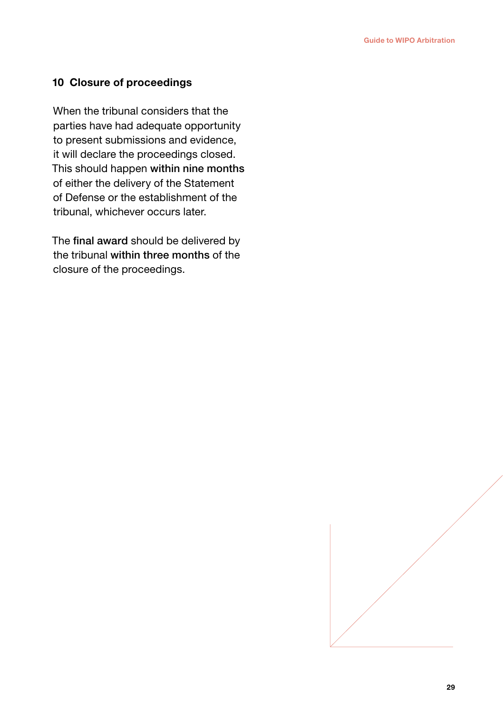### 10 Closure of proceedings

When the tribunal considers that the parties have had adequate opportunity to present submissions and evidence, it will declare the proceedings closed. This should happen within nine months of either the delivery of the Statement of Defense or the establishment of the tribunal, whichever occurs later.

The final award should be delivered by the tribunal within three months of the closure of the proceedings.

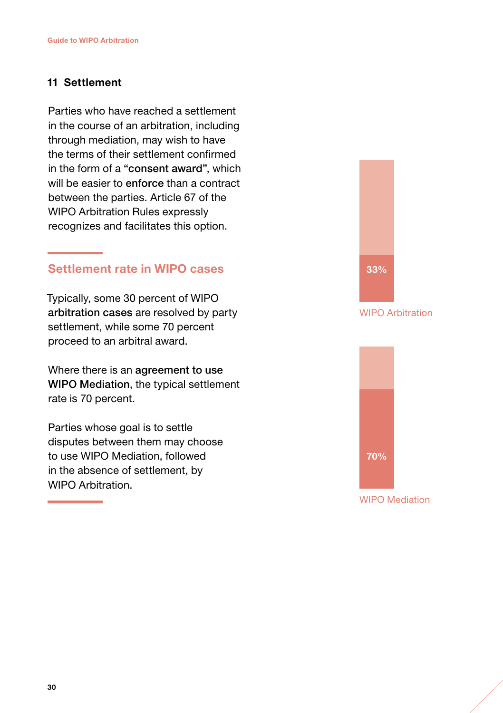#### 11 Settlement

Parties who have reached a settlement in the course of an arbitration, including through mediation, may wish to have the terms of their settlement confirmed in the form of a "consent award", which will be easier to enforce than a contract between the parties. Article 67 of the WIPO Arbitration Rules expressly recognizes and facilitates this option.

### Settlement rate in WIPO cases

Typically, some 30 percent of WIPO arbitration cases are resolved by party settlement, while some 70 percent proceed to an arbitral award.

Where there is an agreement to use WIPO Mediation, the typical settlement rate is 70 percent.

Parties whose goal is to settle disputes between them may choose to use WIPO Mediation, followed in the absence of settlement, by WIPO Arbitration.



70%

WIPO Mediation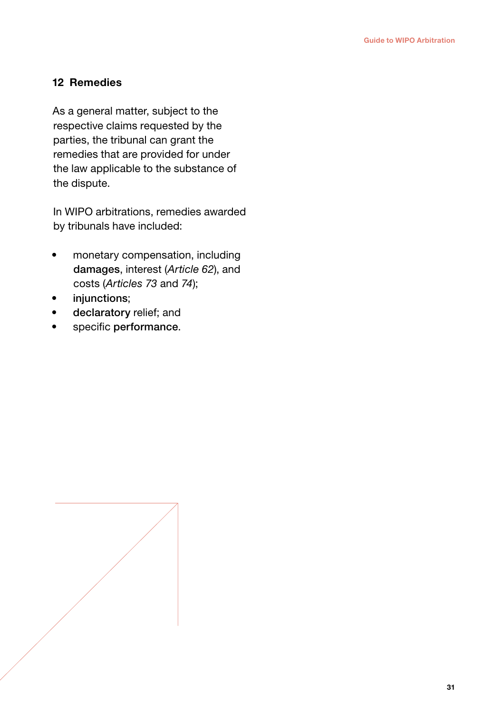#### 12 Remedies

As a general matter, subject to the respective claims requested by the parties, the tribunal can grant the remedies that are provided for under the law applicable to the substance of the dispute.

In WIPO arbitrations, remedies awarded by tribunals have included:

- monetary compensation, including damages, interest (*Article 62*), and costs (*Articles 73* and *74*);
- injunctions;
- declaratory relief; and
- specific performance.

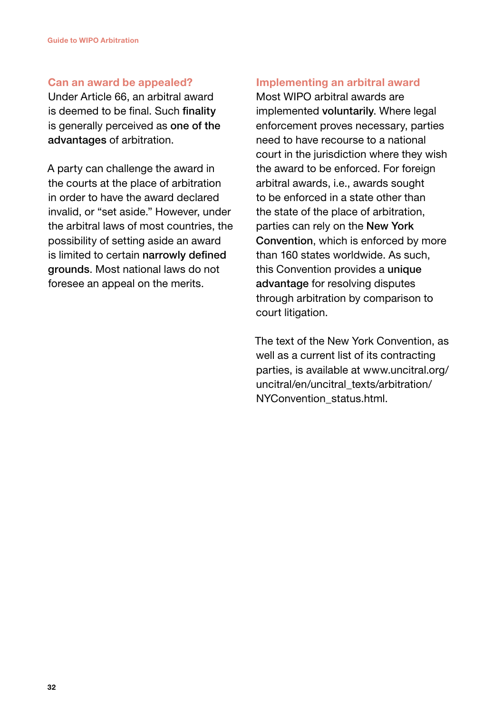#### Can an award be appealed?

Under Article 66, an arbitral award is deemed to be final. Such finality is generally perceived as one of the advantages of arbitration.

A party can challenge the award in the courts at the place of arbitration in order to have the award declared invalid, or "set aside." However, under the arbitral laws of most countries, the possibility of setting aside an award is limited to certain narrowly defined grounds. Most national laws do not foresee an appeal on the merits.

#### Implementing an arbitral award

Most WIPO arbitral awards are implemented voluntarily. Where legal enforcement proves necessary, parties need to have recourse to a national court in the jurisdiction where they wish the award to be enforced. For foreign arbitral awards, i.e., awards sought to be enforced in a state other than the state of the place of arbitration, parties can rely on the New York Convention, which is enforced by more than 160 states worldwide. As such, this Convention provides a unique advantage for resolving disputes through arbitration by comparison to court litigation.

The text of the New York Convention, as well as a current list of its contracting parties, is available at [www.uncitral.org/](https://uncitral.un.org) [uncitral/en/uncitral\\_texts/arbitration/](https://uncitral.un.org) [NYConvention\\_status.html](https://uncitral.un.org).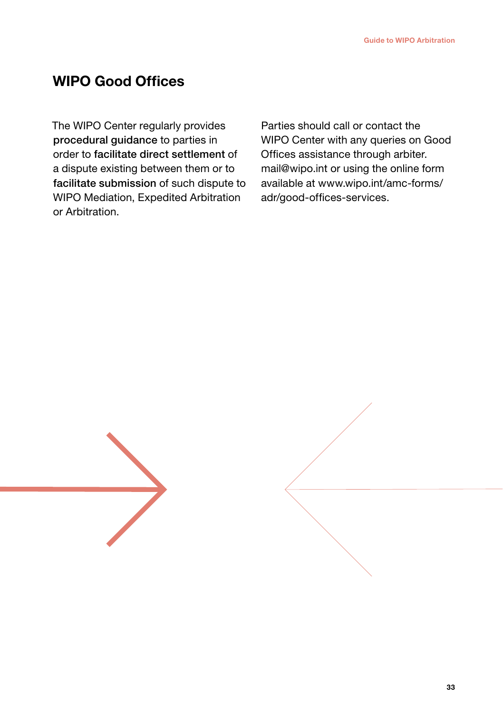### <span id="page-34-0"></span>WIPO Good Offices

The WIPO Center regularly provides procedural guidance to parties in order to facilitate direct settlement of a dispute existing between them or to facilitate submission of such dispute to WIPO Mediation, Expedited Arbitration or Arbitration.

Parties should call or contact the WIPO Center with any queries on Good Offices assistance through [arbiter.](mailto:arbiter.mail%40wipo.int?subject=) [mail@wipo.int](mailto:arbiter.mail%40wipo.int?subject=) or using the online form available at [www.wipo.int/amc-forms/](https://www.wipo.int/amc-forms/adr/good-offices-services) [adr/good-offices-services.](https://www.wipo.int/amc-forms/adr/good-offices-services)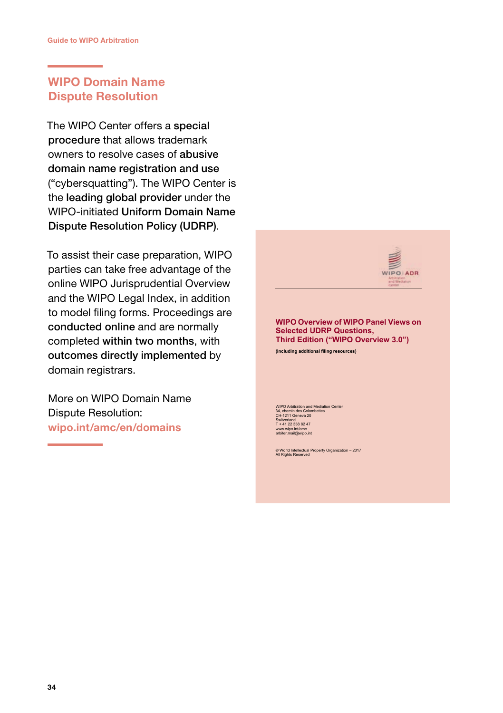### WIPO Domain Name Dispute Resolution

The WIPO Center offers a special procedure that allows trademark owners to resolve cases of abusive domain name registration and use ("cybersquatting"). The WIPO Center is the leading global provider under the WIPO-initiated Uniform Domain Name Dispute Resolution Policy (UDRP).

To assist their case preparation, WIPO parties can take free advantage of the online WIPO Jurisprudential Overview and the WIPO Legal Index, in addition to model filing forms. Proceedings are conducted online and are normally completed within two months, with outcomes directly implemented by domain registrars.

More on WIPO Domain Name Dispute Resolution: [wipo.int/amc/en/domains](https://www.wipo.int/amc/en/domains)

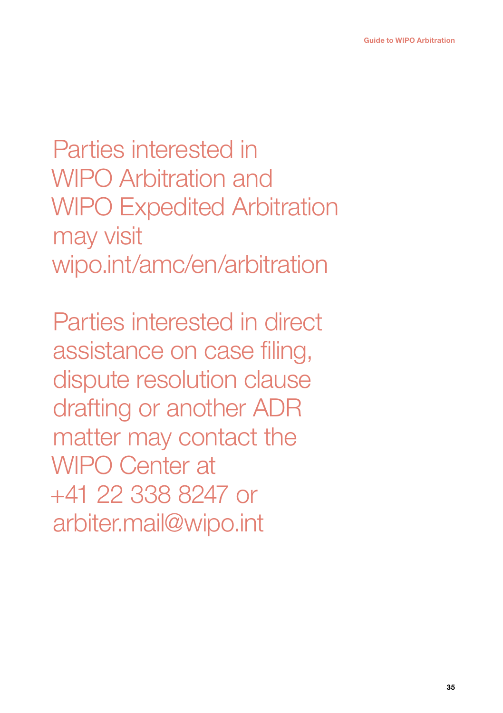Parties interested in WIPO Arbitration and WIPO Expedited Arbitration may visit [wipo.int/amc/en/arbitration](https://www.wipo.int/amc/en/arbitration)

Parties interested in direct assistance on case filing, dispute resolution clause drafting or another ADR matter may contact the WIPO Center at +41 22 338 8247 or [arbiter.mail@wipo.int](mailto:arbiter.mail%40wipo.int?subject=)